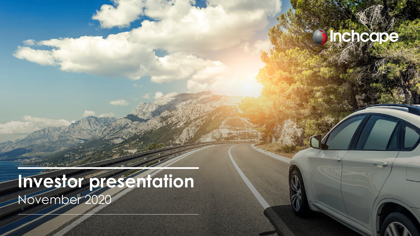### **Inchecoc**

## **Investor presentation** November 2020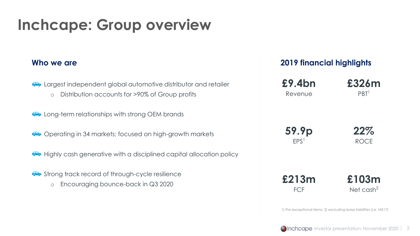### **Inchcape: Group overview**

#### **Who we are**

• Largest independent global automotive distributor and retailer

o Distribution accounts for >90% of Group profits

• Long-term relationships with strong OEM brands

• Operating in 34 markets; focused on high-growth markets

• Highly cash generative with a disciplined capital allocation policy

- Strong track record of through-cycle resilience
	- o Encouraging bounce-back in Q3 2020

#### **2019 financial highlights**

| £9.4bn           | £326m                                                                 |
|------------------|-----------------------------------------------------------------------|
| Revenue          | PBT <sup>1</sup>                                                      |
| 59.9p            | 22%                                                                   |
| EPS <sup>1</sup> | ROCE                                                                  |
| £213m            | £103m                                                                 |
| <b>FCF</b>       | Net cash <sup>2</sup>                                                 |
|                  | 1) Pre exceptional items; 2) excluding lease liabilities (i.e. IAS17) |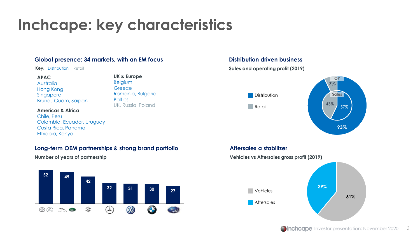## **Inchcape: key characteristics**

**UK & Europe** Belgium **Greece** 

**Baltics** 

Romania, Bulgaria

UK, Russia, Poland

#### **Global presence: 34 markets, with an EM focus**

**Key**: Distribution Retail

#### **APAC**

Australia Hong Kong Singapore Brunei, Guam, Saipan

#### **Americas & Africa**

Chile, Peru Colombia, Ecuador, Uruguay Costa Rica, Panama Ethiopia, Kenya

#### **Long-term OEM partnerships & strong brand portfolio**

**Number of years of partnership**



#### **Distribution driven business**



#### **Aftersales a stabilizer**

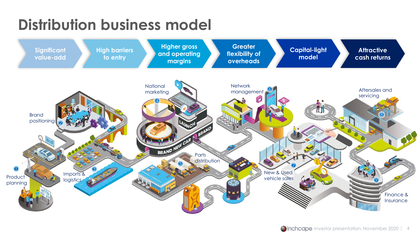## **Distribution business model**

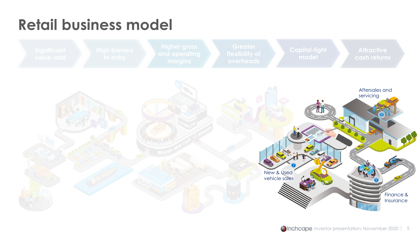# **Retail business model**

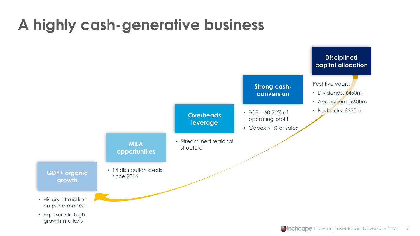## **A highly cash-generative business**

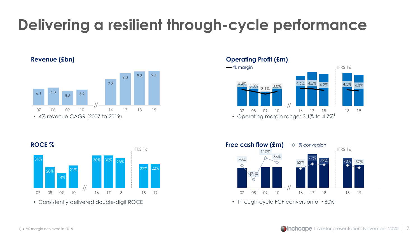# **Delivering a resilient through-cycle performance**



#### **Revenue (£bn) Operating Profit (£m)**





• Consistently delivered double-digit ROCE



• Through-cycle FCF conversion of ~60%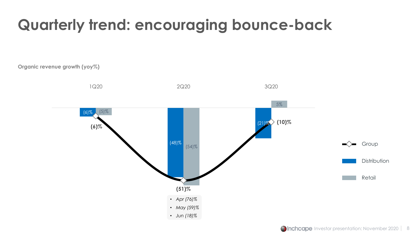# **Quarterly trend: encouraging bounce-back**

**Organic revenue growth (yoy%)**

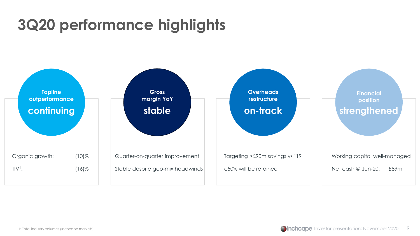# **3Q20 performance highlights**

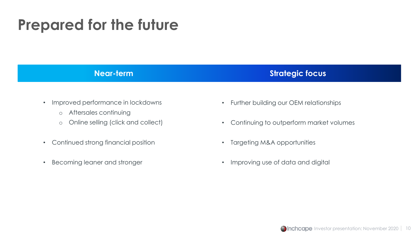#### **Prepared for the future**

#### **Near-term Strategic focus**

- Improved performance in lockdowns
	- o Aftersales continuing
	- o Online selling (click and collect)
- Continued strong financial position
- Becoming leaner and stronger
- Further building our OEM relationships
- Continuing to outperform market volumes
- Targeting M&A opportunities
- Improving use of data and digital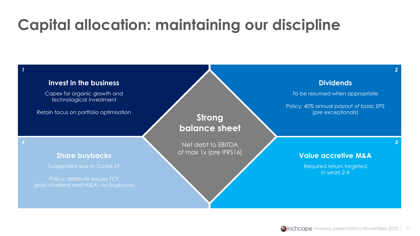## **Capital allocation: maintaining our discipline**